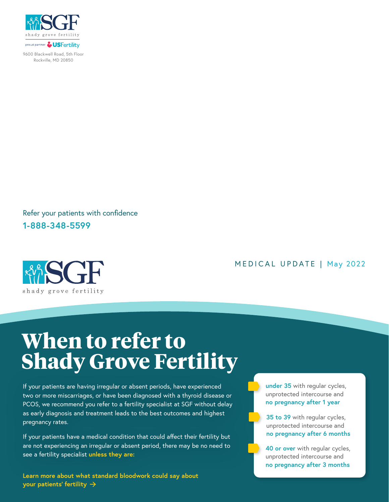

9600 Blackwell Road, 5th Floor Rockville, MD 20850

Refer your patients with confidence **1-888-348-5599**



## MEDICAL UPDATE | May 2022

## **When to refer to Shady Grove Fertility**

If your patients are having irregular or absent periods, have experienced two or more miscarriages, or have been diagnosed with a thyroid disease or PCOS, we recommend you refer to a fertility specialist at SGF without delay as early diagnosis and treatment leads to the best outcomes and highest pregnancy rates.

If your patients have a medical condition that could affect their fertility but are not experiencing an irregular or absent period, there may be no need to see a fertility specialist **unless they are:** 

**Learn more about what standard bloodwork could say about your patients' fertility**

**under 35** with regular cycles, unprotected intercourse and **no pregnancy after 1 year**

**35 to 39** with regular cycles, unprotected intercourse and **no pregnancy after 6 months**

**40 or over** with regular cycles, unprotected intercourse and **no pregnancy after 3 months**